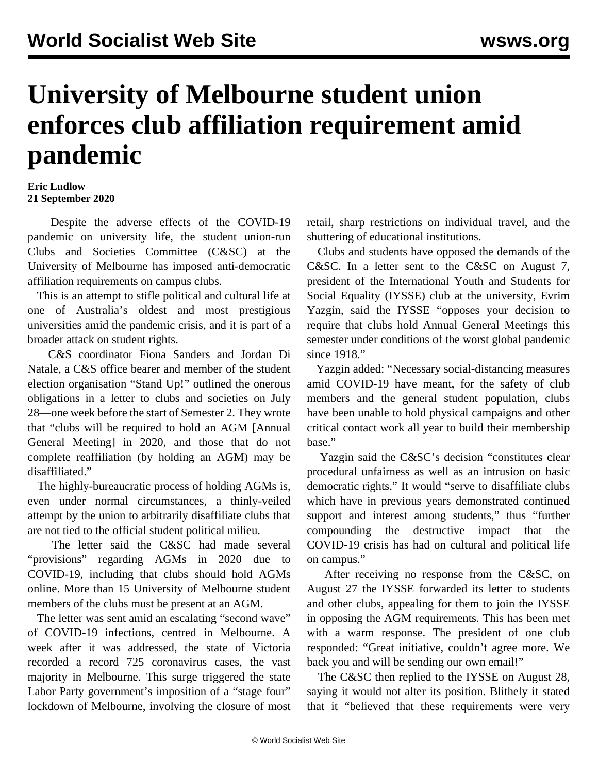## **University of Melbourne student union enforces club affiliation requirement amid pandemic**

## **Eric Ludlow 21 September 2020**

 Despite the adverse effects of the COVID-19 pandemic on university life, the student union-run Clubs and Societies Committee (C&SC) at the University of Melbourne has imposed anti-democratic affiliation requirements on campus clubs.

 This is an attempt to stifle political and cultural life at one of Australia's oldest and most prestigious universities amid the pandemic crisis, and it is part of a broader attack on student rights.

 C&S coordinator Fiona Sanders and Jordan Di Natale, a C&S office bearer and member of the student election organisation "Stand Up!" outlined the onerous obligations in a letter to clubs and societies on July 28—one week before the start of Semester 2. They wrote that "clubs will be required to hold an AGM [Annual General Meeting] in 2020, and those that do not complete reaffiliation (by holding an AGM) may be disaffiliated."

 The highly-bureaucratic process of holding AGMs is, even under normal circumstances, a thinly-veiled attempt by the union to arbitrarily disaffiliate clubs that are not tied to the official student political milieu.

 The letter said the C&SC had made several "provisions" regarding AGMs in 2020 due to COVID-19, including that clubs should hold AGMs online. More than 15 University of Melbourne student members of the clubs must be present at an AGM.

 The letter was sent amid an escalating "second wave" of COVID-19 infections, centred in Melbourne. A week after it was addressed, the state of Victoria recorded a record 725 coronavirus cases, the vast majority in Melbourne. This surge triggered the state Labor Party government's imposition of a "stage four" lockdown of Melbourne, involving the closure of most retail, sharp restrictions on individual travel, and the shuttering of educational institutions.

 Clubs and students have opposed the demands of the C&SC. In a [letter](https://iysse.com/2020/08/28/oppose-the-university-of-melbournes-anti-democratic-affiliation-requirements/) sent to the C&SC on August 7, president of the International Youth and Students for Social Equality (IYSSE) club at the university, Evrim Yazgin, said the IYSSE "opposes your decision to require that clubs hold Annual General Meetings this semester under conditions of the worst global pandemic since 1918."

 Yazgin added: "Necessary social-distancing measures amid COVID-19 have meant, for the safety of club members and the general student population, clubs have been unable to hold physical campaigns and other critical contact work all year to build their membership base."

 Yazgin said the C&SC's decision "constitutes clear procedural unfairness as well as an intrusion on basic democratic rights." It would "serve to disaffiliate clubs which have in previous years demonstrated continued support and interest among students," thus "further compounding the destructive impact that the COVID-19 crisis has had on cultural and political life on campus."

 After receiving no response from the C&SC, on August 27 the IYSSE forwarded its letter to students and other clubs, appealing for them to join the IYSSE in opposing the AGM requirements. This has been met with a warm response. The president of one club responded: "Great initiative, couldn't agree more. We back you and will be sending our own email!"

 The C&SC then replied to the IYSSE on August 28, saying it would not alter its position. Blithely it stated that it "believed that these requirements were very